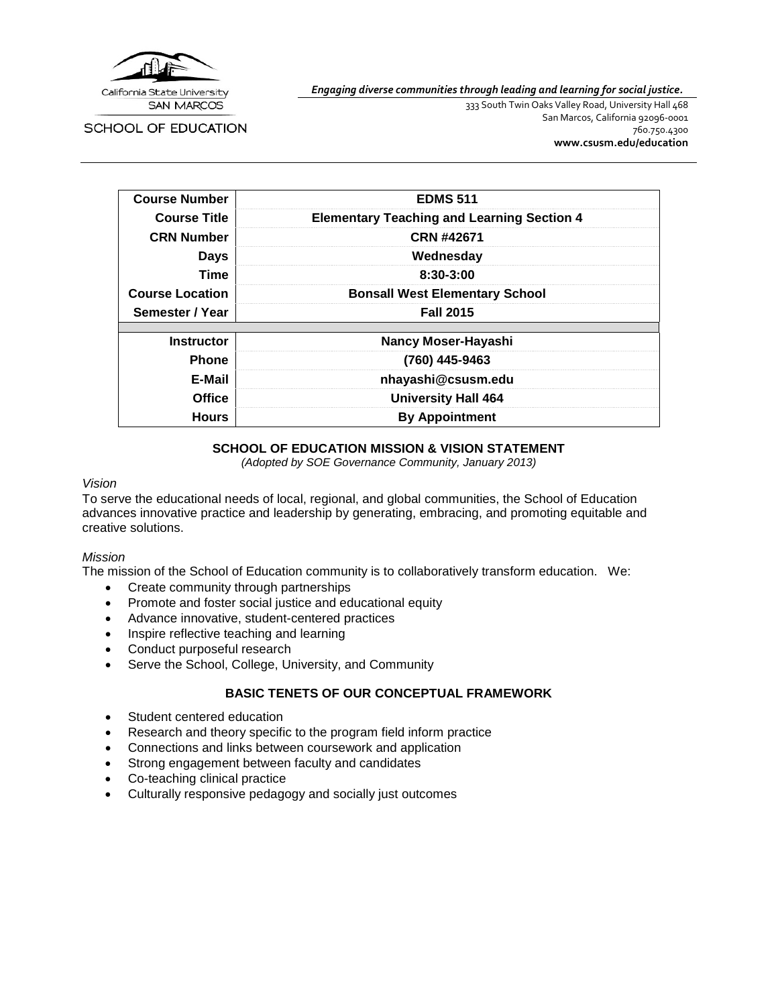

SCHOOL OF EDUCATION

*Engaging diverse communities through leading and learning for social justice.*

333 South Twin Oaks Valley Road, University Hall 468 San Marcos, California 92096-0001 760.750.4300 **[www.csusm.edu/education](http://www.csusm.edu/education)**

| <b>Course Number</b>   | <b>EDMS 511</b>                                   |
|------------------------|---------------------------------------------------|
| <b>Course Title</b>    | <b>Elementary Teaching and Learning Section 4</b> |
| <b>CRN Number</b>      | <b>CRN #42671</b>                                 |
| <b>Days</b>            | Wednesday                                         |
| Time                   | 8:30-3:00                                         |
| <b>Course Location</b> | <b>Bonsall West Elementary School</b>             |
| Semester / Year        | <b>Fall 2015</b>                                  |
|                        |                                                   |
| <b>Instructor</b>      | Nancy Moser-Hayashi                               |
| <b>Phone</b>           | (760) 445-9463                                    |
| E-Mail                 | nhayashi@csusm.edu                                |
| <b>Office</b>          | <b>University Hall 464</b>                        |
| <b>Hours</b>           | <b>By Appointment</b>                             |

## **SCHOOL OF EDUCATION MISSION & VISION STATEMENT**

*(Adopted by SOE Governance Community, January 2013)*

#### *Vision*

To serve the educational needs of local, regional, and global communities, the School of Education advances innovative practice and leadership by generating, embracing, and promoting equitable and creative solutions.

#### *Mission*

The mission of the School of Education community is to collaboratively transform education. We:

- Create community through partnerships
- Promote and foster social justice and educational equity
- Advance innovative, student-centered practices
- Inspire reflective teaching and learning
- Conduct purposeful research
- Serve the School, College, University, and Community

## **BASIC TENETS OF OUR CONCEPTUAL FRAMEWORK**

- Student centered education
- Research and theory specific to the program field inform practice
- Connections and links between coursework and application
- Strong engagement between faculty and candidates
- Co-teaching clinical practice
- Culturally responsive pedagogy and socially just outcomes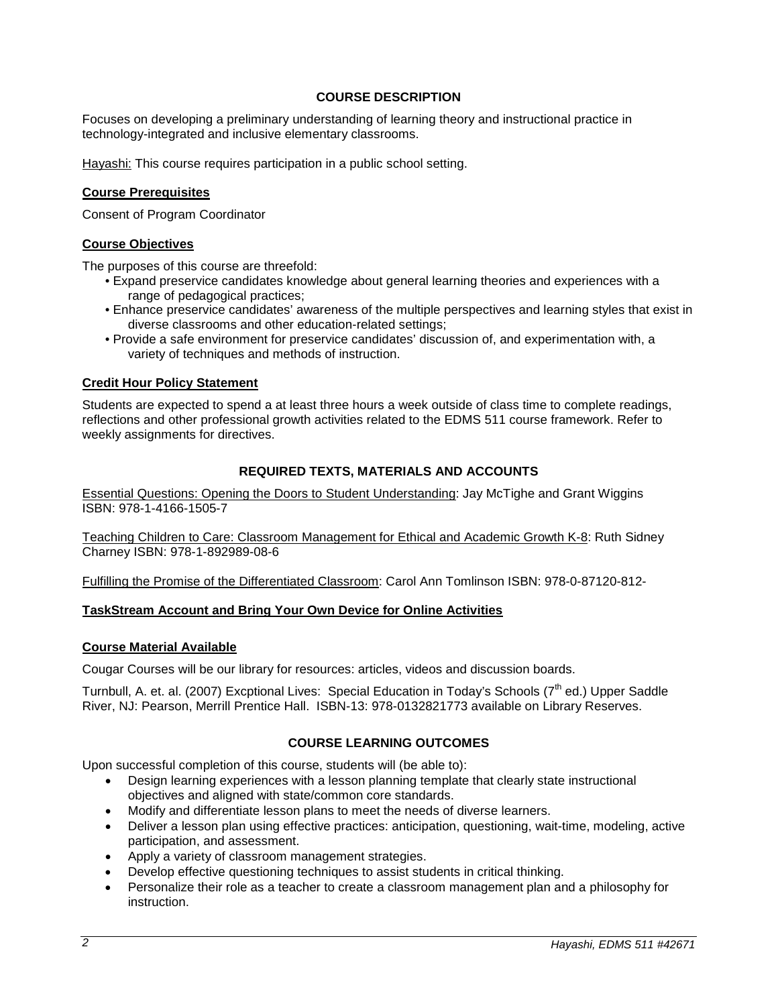# **COURSE DESCRIPTION**

Focuses on developing a preliminary understanding of learning theory and instructional practice in technology-integrated and inclusive elementary classrooms.

Hayashi: This course requires participation in a public school setting.

## **Course Prerequisites**

Consent of Program Coordinator

#### **Course Objectives**

The purposes of this course are threefold:

- Expand preservice candidates knowledge about general learning theories and experiences with a range of pedagogical practices;
- Enhance preservice candidates' awareness of the multiple perspectives and learning styles that exist in diverse classrooms and other education-related settings;
- Provide a safe environment for preservice candidates' discussion of, and experimentation with, a variety of techniques and methods of instruction.

#### **Credit Hour Policy Statement**

Students are expected to spend a at least three hours a week outside of class time to complete readings, reflections and other professional growth activities related to the EDMS 511 course framework. Refer to weekly assignments for directives.

# **REQUIRED TEXTS, MATERIALS AND ACCOUNTS**

Essential Questions: Opening the Doors to Student Understanding: Jay McTighe and Grant Wiggins ISBN: 978-1-4166-1505-7

Teaching Children to Care: Classroom Management for Ethical and Academic Growth K-8: Ruth Sidney Charney ISBN: 978-1-892989-08-6

Fulfilling the Promise of the Differentiated Classroom: Carol Ann Tomlinson ISBN: 978-0-87120-812-

#### **TaskStream Account and Bring Your Own Device for Online Activities**

#### **Course Material Available**

Cougar Courses will be our library for resources: articles, videos and discussion boards.

Turnbull, A. et. al. (2007) Excptional Lives: Special Education in Today's Schools (7<sup>th</sup> ed.) Upper Saddle River, NJ: Pearson, Merrill Prentice Hall. ISBN-13: 978-0132821773 available on Library Reserves.

#### **COURSE LEARNING OUTCOMES**

Upon successful completion of this course, students will (be able to):

- Design learning experiences with a lesson planning template that clearly state instructional objectives and aligned with state/common core standards.
- Modify and differentiate lesson plans to meet the needs of diverse learners.
- Deliver a lesson plan using effective practices: anticipation, questioning, wait-time, modeling, active participation, and assessment.
- Apply a variety of classroom management strategies.
- Develop effective questioning techniques to assist students in critical thinking.
- Personalize their role as a teacher to create a classroom management plan and a philosophy for instruction.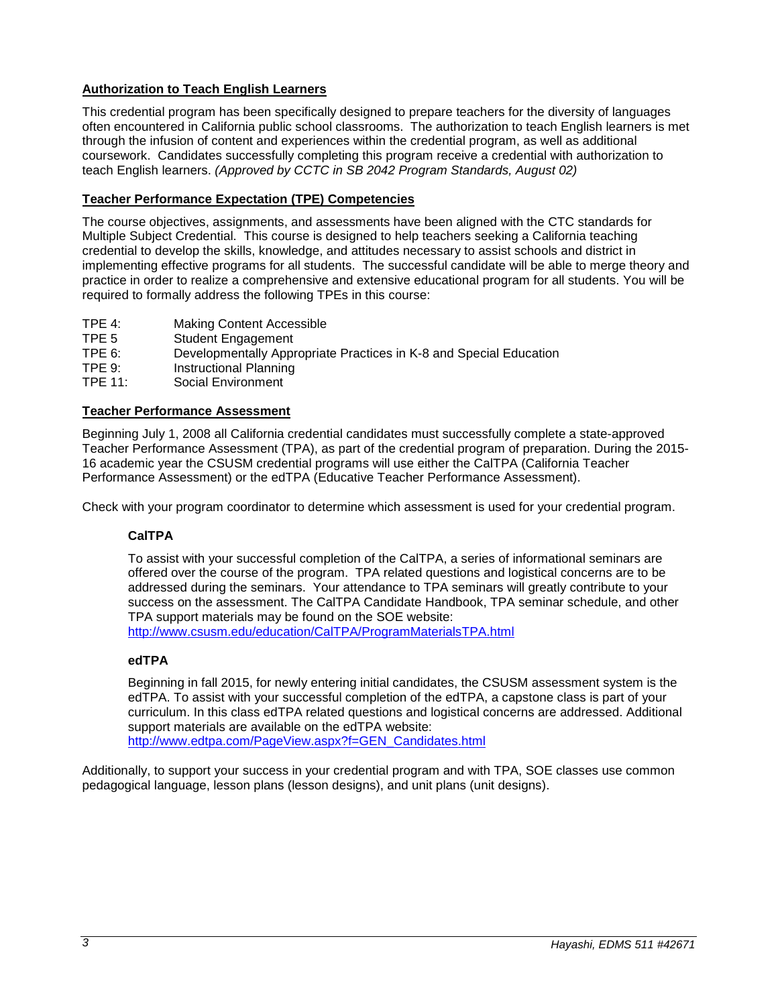# **Authorization to Teach English Learners**

This credential program has been specifically designed to prepare teachers for the diversity of languages often encountered in California public school classrooms. The authorization to teach English learners is met through the infusion of content and experiences within the credential program, as well as additional coursework. Candidates successfully completing this program receive a credential with authorization to teach English learners. *(Approved by CCTC in SB 2042 Program Standards, August 02)*

## **Teacher Performance Expectation (TPE) Competencies**

The course objectives, assignments, and assessments have been aligned with the CTC standards for Multiple Subject Credential. This course is designed to help teachers seeking a California teaching credential to develop the skills, knowledge, and attitudes necessary to assist schools and district in implementing effective programs for all students. The successful candidate will be able to merge theory and practice in order to realize a comprehensive and extensive educational program for all students. You will be required to formally address the following TPEs in this course:

- TPE 4: Making Content Accessible
- TPE 5 Student Engagement<br>TPF 6: Developmentally Appl
- Developmentally Appropriate Practices in K-8 and Special Education
- TPE 9: Instructional Planning<br>TPE 11: Social Environment
- Social Environment

#### **Teacher Performance Assessment**

Beginning July 1, 2008 all California credential candidates must successfully complete a state-approved Teacher Performance Assessment (TPA), as part of the credential program of preparation. During the 2015- 16 academic year the CSUSM credential programs will use either the CalTPA (California Teacher Performance Assessment) or the edTPA (Educative Teacher Performance Assessment).

Check with your program coordinator to determine which assessment is used for your credential program.

## **CalTPA**

To assist with your successful completion of the CalTPA, a series of informational seminars are offered over the course of the program. TPA related questions and logistical concerns are to be addressed during the seminars. Your attendance to TPA seminars will greatly contribute to your success on the assessment. The CalTPA Candidate Handbook, TPA seminar schedule, and other TPA support materials may be found on the SOE website: <http://www.csusm.edu/education/CalTPA/ProgramMaterialsTPA.html>

#### **edTPA**

Beginning in fall 2015, for newly entering initial candidates, the CSUSM assessment system is the edTPA. To assist with your successful completion of the edTPA, a capstone class is part of your curriculum. In this class edTPA related questions and logistical concerns are addressed. Additional support materials are available on the edTPA website: [http://www.edtpa.com/PageView.aspx?f=GEN\\_Candidates.html](http://www.edtpa.com/PageView.aspx?f=GEN_Candidates.html)

Additionally, to support your success in your credential program and with TPA, SOE classes use common pedagogical language, lesson plans (lesson designs), and unit plans (unit designs).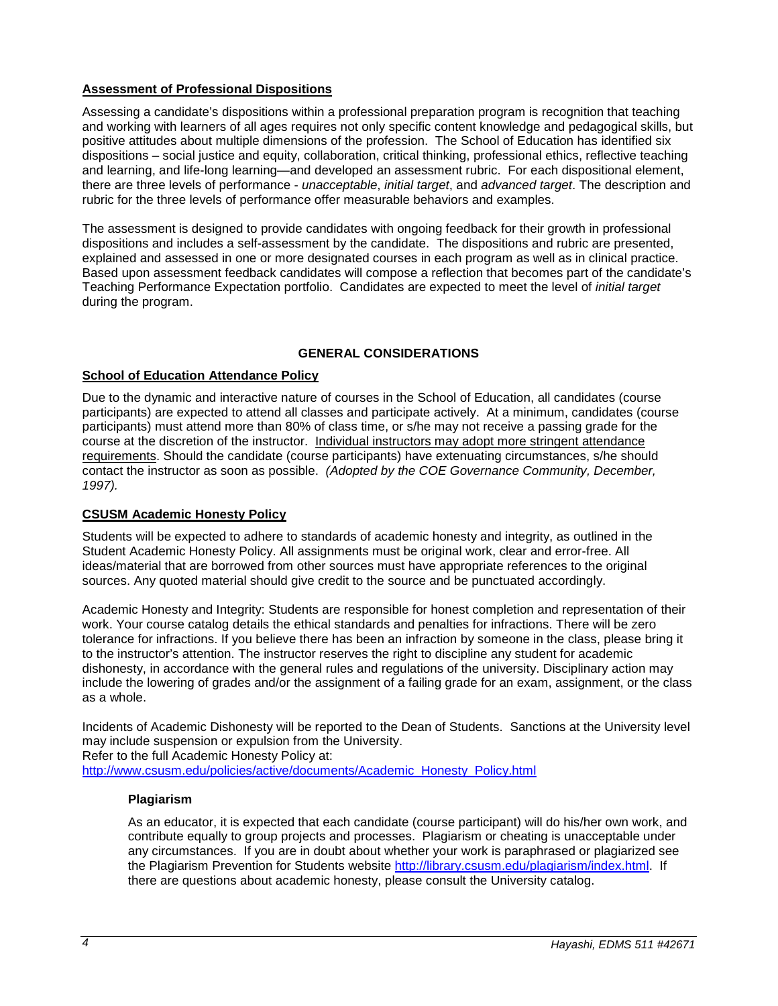# **Assessment of Professional Dispositions**

Assessing a candidate's dispositions within a professional preparation program is recognition that teaching and working with learners of all ages requires not only specific content knowledge and pedagogical skills, but positive attitudes about multiple dimensions of the profession. The School of Education has identified six dispositions – social justice and equity, collaboration, critical thinking, professional ethics, reflective teaching and learning, and life-long learning—and developed an assessment rubric. For each dispositional element, there are three levels of performance - *unacceptable*, *initial target*, and *advanced target*. The description and rubric for the three levels of performance offer measurable behaviors and examples.

The assessment is designed to provide candidates with ongoing feedback for their growth in professional dispositions and includes a self-assessment by the candidate. The dispositions and rubric are presented, explained and assessed in one or more designated courses in each program as well as in clinical practice. Based upon assessment feedback candidates will compose a reflection that becomes part of the candidate's Teaching Performance Expectation portfolio. Candidates are expected to meet the level of *initial target* during the program.

# **GENERAL CONSIDERATIONS**

## **School of Education Attendance Policy**

Due to the dynamic and interactive nature of courses in the School of Education, all candidates (course participants) are expected to attend all classes and participate actively. At a minimum, candidates (course participants) must attend more than 80% of class time, or s/he may not receive a passing grade for the course at the discretion of the instructor. Individual instructors may adopt more stringent attendance requirements. Should the candidate (course participants) have extenuating circumstances, s/he should contact the instructor as soon as possible. *(Adopted by the COE Governance Community, December, 1997).*

## **CSUSM Academic Honesty Policy**

Students will be expected to adhere to standards of academic honesty and integrity, as outlined in the Student Academic Honesty Policy. All assignments must be original work, clear and error-free. All ideas/material that are borrowed from other sources must have appropriate references to the original sources. Any quoted material should give credit to the source and be punctuated accordingly.

Academic Honesty and Integrity: Students are responsible for honest completion and representation of their work. Your course catalog details the ethical standards and penalties for infractions. There will be zero tolerance for infractions. If you believe there has been an infraction by someone in the class, please bring it to the instructor's attention. The instructor reserves the right to discipline any student for academic dishonesty, in accordance with the general rules and regulations of the university. Disciplinary action may include the lowering of grades and/or the assignment of a failing grade for an exam, assignment, or the class as a whole.

Incidents of Academic Dishonesty will be reported to the Dean of Students. Sanctions at the University level may include suspension or expulsion from the University. Refer to the full Academic Honesty Policy at:

[http://www.csusm.edu/policies/active/documents/Academic\\_Honesty\\_Policy.html](http://www.csusm.edu/policies/active/documents/Academic_Honesty_Policy.html)

#### **Plagiarism**

As an educator, it is expected that each candidate (course participant) will do his/her own work, and contribute equally to group projects and processes. Plagiarism or cheating is unacceptable under any circumstances. If you are in doubt about whether your work is paraphrased or plagiarized see the Plagiarism Prevention for Students website [http://library.csusm.edu/plagiarism/index.html.](http://library.csusm.edu/plagiarism/index.html) If there are questions about academic honesty, please consult the University catalog.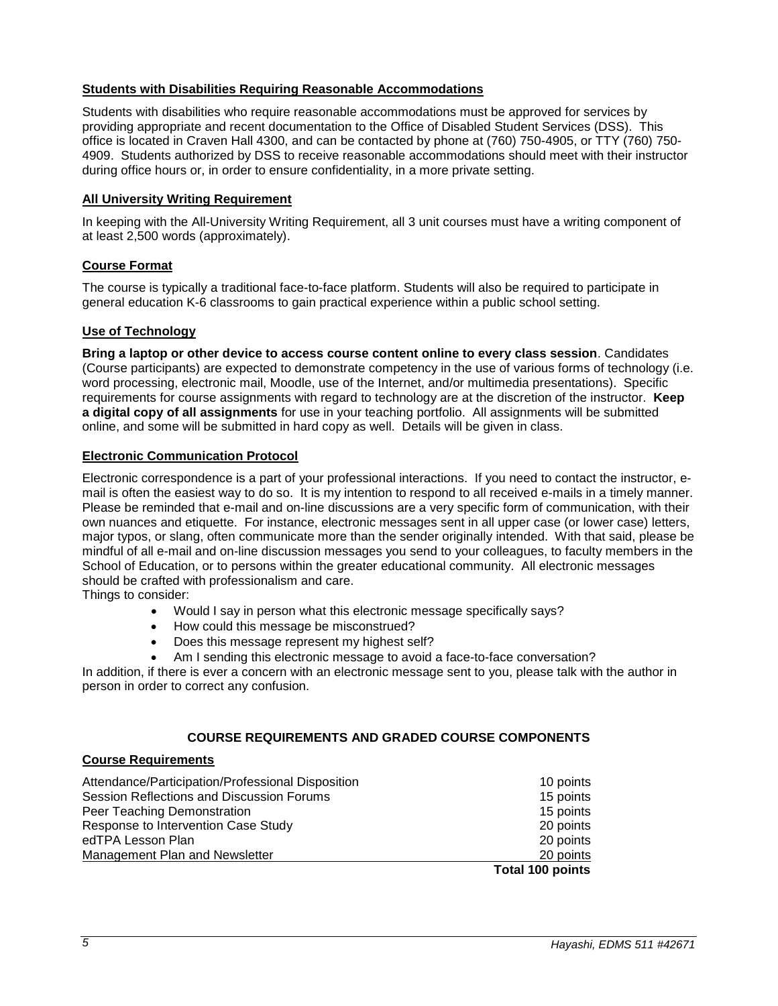### **Students with Disabilities Requiring Reasonable Accommodations**

Students with disabilities who require reasonable accommodations must be approved for services by providing appropriate and recent documentation to the Office of Disabled Student Services (DSS). This office is located in Craven Hall 4300, and can be contacted by phone at (760) 750-4905, or TTY (760) 750- 4909. Students authorized by DSS to receive reasonable accommodations should meet with their instructor during office hours or, in order to ensure confidentiality, in a more private setting.

#### **All University Writing Requirement**

In keeping with the All-University Writing Requirement, all 3 unit courses must have a writing component of at least 2,500 words (approximately).

## **Course Format**

The course is typically a traditional face-to-face platform. Students will also be required to participate in general education K-6 classrooms to gain practical experience within a public school setting.

#### **Use of Technology**

**Bring a laptop or other device to access course content online to every class session**. Candidates (Course participants) are expected to demonstrate competency in the use of various forms of technology (i.e. word processing, electronic mail, Moodle, use of the Internet, and/or multimedia presentations). Specific requirements for course assignments with regard to technology are at the discretion of the instructor. **Keep a digital copy of all assignments** for use in your teaching portfolio. All assignments will be submitted online, and some will be submitted in hard copy as well. Details will be given in class.

#### **Electronic Communication Protocol**

Electronic correspondence is a part of your professional interactions. If you need to contact the instructor, email is often the easiest way to do so. It is my intention to respond to all received e-mails in a timely manner. Please be reminded that e-mail and on-line discussions are a very specific form of communication, with their own nuances and etiquette. For instance, electronic messages sent in all upper case (or lower case) letters, major typos, or slang, often communicate more than the sender originally intended. With that said, please be mindful of all e-mail and on-line discussion messages you send to your colleagues, to faculty members in the School of Education, or to persons within the greater educational community. All electronic messages should be crafted with professionalism and care.

Things to consider:

- Would I say in person what this electronic message specifically says?
- How could this message be misconstrued?
- Does this message represent my highest self?
- Am I sending this electronic message to avoid a face-to-face conversation?

In addition, if there is ever a concern with an electronic message sent to you, please talk with the author in person in order to correct any confusion.

## **COURSE REQUIREMENTS AND GRADED COURSE COMPONENTS**

#### **Course Requirements**

| Attendance/Participation/Professional Disposition | 10 points        |
|---------------------------------------------------|------------------|
| Session Reflections and Discussion Forums         | 15 points        |
| Peer Teaching Demonstration                       | 15 points        |
| Response to Intervention Case Study               | 20 points        |
| edTPA Lesson Plan                                 | 20 points        |
| Management Plan and Newsletter                    | 20 points        |
|                                                   | Total 100 points |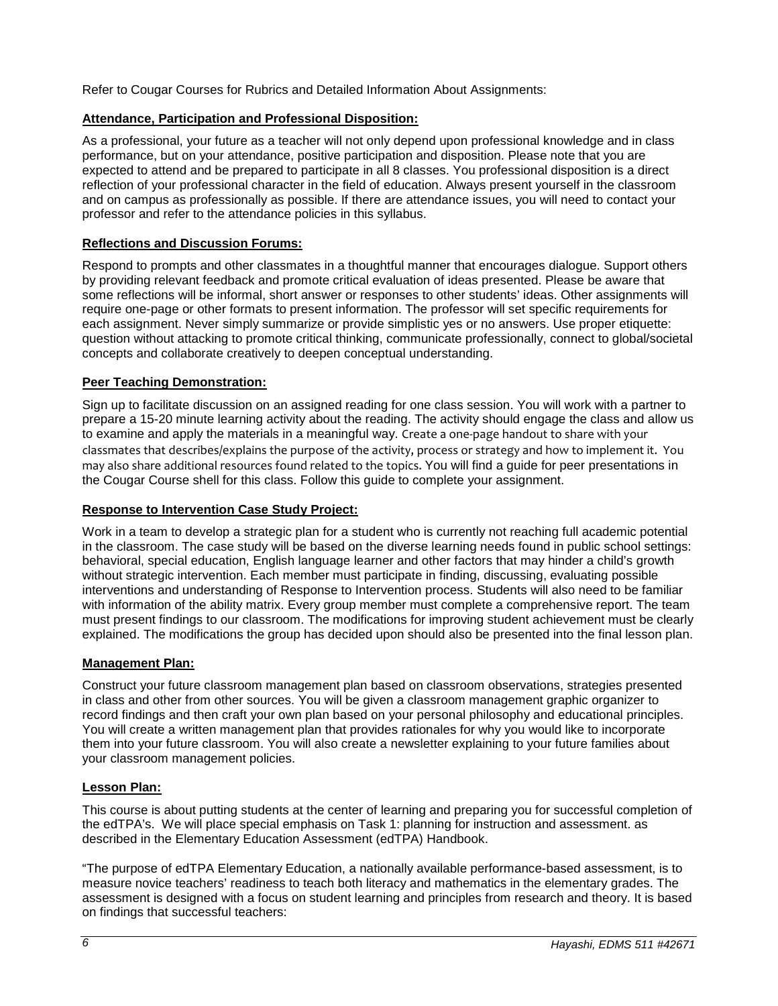Refer to Cougar Courses for Rubrics and Detailed Information About Assignments:

# **Attendance, Participation and Professional Disposition:**

As a professional, your future as a teacher will not only depend upon professional knowledge and in class performance, but on your attendance, positive participation and disposition. Please note that you are expected to attend and be prepared to participate in all 8 classes. You professional disposition is a direct reflection of your professional character in the field of education. Always present yourself in the classroom and on campus as professionally as possible. If there are attendance issues, you will need to contact your professor and refer to the attendance policies in this syllabus.

### **Reflections and Discussion Forums:**

Respond to prompts and other classmates in a thoughtful manner that encourages dialogue. Support others by providing relevant feedback and promote critical evaluation of ideas presented. Please be aware that some reflections will be informal, short answer or responses to other students' ideas. Other assignments will require one-page or other formats to present information. The professor will set specific requirements for each assignment. Never simply summarize or provide simplistic yes or no answers. Use proper etiquette: question without attacking to promote critical thinking, communicate professionally, connect to global/societal concepts and collaborate creatively to deepen conceptual understanding.

#### **Peer Teaching Demonstration:**

Sign up to facilitate discussion on an assigned reading for one class session. You will work with a partner to prepare a 15-20 minute learning activity about the reading. The activity should engage the class and allow us to examine and apply the materials in a meaningful way. Create a one-page handout to share with your classmates that describes/explains the purpose of the activity, process or strategy and how to implement it. You may also share additional resources found related to the topics. You will find a guide for peer presentations in the Cougar Course shell for this class. Follow this guide to complete your assignment.

### **Response to Intervention Case Study Project:**

Work in a team to develop a strategic plan for a student who is currently not reaching full academic potential in the classroom. The case study will be based on the diverse learning needs found in public school settings: behavioral, special education, English language learner and other factors that may hinder a child's growth without strategic intervention. Each member must participate in finding, discussing, evaluating possible interventions and understanding of Response to Intervention process. Students will also need to be familiar with information of the ability matrix. Every group member must complete a comprehensive report. The team must present findings to our classroom. The modifications for improving student achievement must be clearly explained. The modifications the group has decided upon should also be presented into the final lesson plan.

## **Management Plan:**

Construct your future classroom management plan based on classroom observations, strategies presented in class and other from other sources. You will be given a classroom management graphic organizer to record findings and then craft your own plan based on your personal philosophy and educational principles. You will create a written management plan that provides rationales for why you would like to incorporate them into your future classroom. You will also create a newsletter explaining to your future families about your classroom management policies.

#### **Lesson Plan:**

This course is about putting students at the center of learning and preparing you for successful completion of the edTPA's. We will place special emphasis on Task 1: planning for instruction and assessment. as described in the Elementary Education Assessment (edTPA) Handbook.

"The purpose of edTPA Elementary Education, a nationally available performance-based assessment, is to measure novice teachers' readiness to teach both literacy and mathematics in the elementary grades. The assessment is designed with a focus on student learning and principles from research and theory. It is based on findings that successful teachers: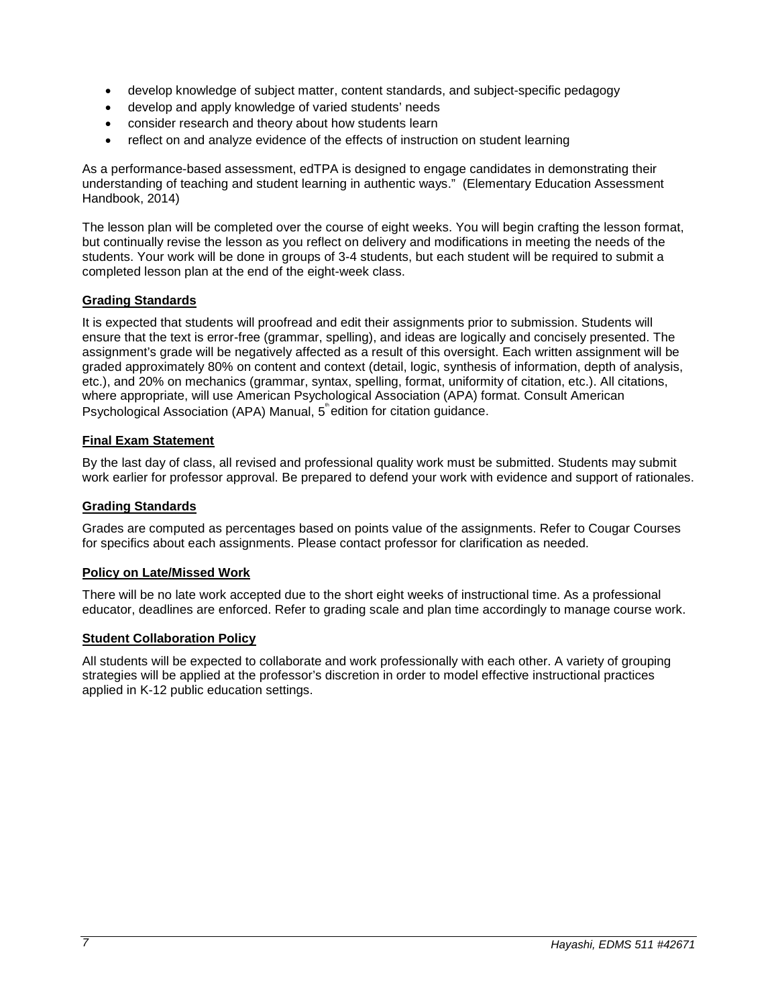- develop knowledge of subject matter, content standards, and subject-specific pedagogy
- develop and apply knowledge of varied students' needs
- consider research and theory about how students learn
- reflect on and analyze evidence of the effects of instruction on student learning

As a performance-based assessment, edTPA is designed to engage candidates in demonstrating their understanding of teaching and student learning in authentic ways." (Elementary Education Assessment Handbook, 2014)

The lesson plan will be completed over the course of eight weeks. You will begin crafting the lesson format, but continually revise the lesson as you reflect on delivery and modifications in meeting the needs of the students. Your work will be done in groups of 3-4 students, but each student will be required to submit a completed lesson plan at the end of the eight-week class.

### **Grading Standards**

It is expected that students will proofread and edit their assignments prior to submission. Students will ensure that the text is error-free (grammar, spelling), and ideas are logically and concisely presented. The assignment's grade will be negatively affected as a result of this oversight. Each written assignment will be graded approximately 80% on content and context (detail, logic, synthesis of information, depth of analysis, etc.), and 20% on mechanics (grammar, syntax, spelling, format, uniformity of citation, etc.). All citations, where appropriate, will use American Psychological Association (APA) format. Consult American Psychological Association (APA) Manual,  $5^{\degree}$  edition for citation guidance.

### **Final Exam Statement**

By the last day of class, all revised and professional quality work must be submitted. Students may submit work earlier for professor approval. Be prepared to defend your work with evidence and support of rationales.

#### **Grading Standards**

Grades are computed as percentages based on points value of the assignments. Refer to Cougar Courses for specifics about each assignments. Please contact professor for clarification as needed.

#### **Policy on Late/Missed Work**

There will be no late work accepted due to the short eight weeks of instructional time. As a professional educator, deadlines are enforced. Refer to grading scale and plan time accordingly to manage course work.

#### **Student Collaboration Policy**

All students will be expected to collaborate and work professionally with each other. A variety of grouping strategies will be applied at the professor's discretion in order to model effective instructional practices applied in K-12 public education settings.